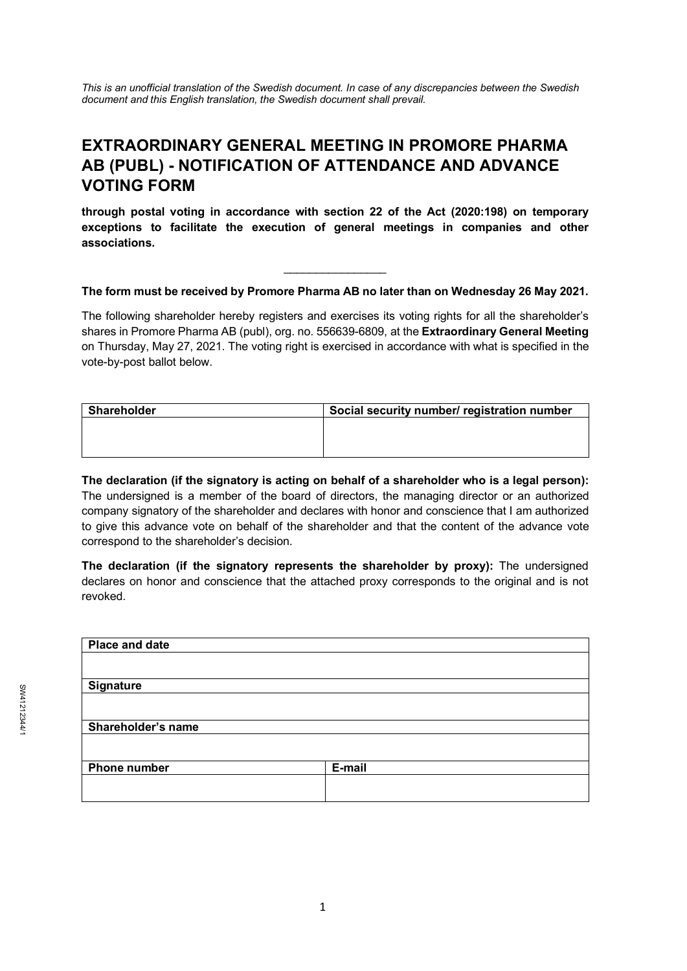*This is an unofficial translation of the Swedish document. In case of any discrepancies between the Swedish document and this English translation, the Swedish document shall prevail.*

## **EXTRAORDINARY GENERAL MEETING IN PROMORE PHARMA AB (PUBL) - NOTIFICATION OF ATTENDANCE AND ADVANCE VOTING FORM**

**through postal voting in accordance with section 22 of the Act (2020:198) on temporary exceptions to facilitate the execution of general meetings in companies and other associations.**

\_\_\_\_\_\_\_\_\_\_\_\_\_\_\_\_ **The form must be received by Promore Pharma AB no later than on Wednesday 26 May 2021.**

The following shareholder hereby registers and exercises its voting rights for all the shareholder's shares in Promore Pharma AB (publ), org. no. 556639-6809, at the **Extraordinary General Meeting** on Thursday, May 27, 2021. The voting right is exercised in accordance with what is specified in the vote-by-post ballot below.

| <b>Shareholder</b> | Social security number/ registration number |
|--------------------|---------------------------------------------|
|                    |                                             |
|                    |                                             |
|                    |                                             |

**The declaration (if the signatory is acting on behalf of a shareholder who is a legal person):**  The undersigned is a member of the board of directors, the managing director or an authorized company signatory of the shareholder and declares with honor and conscience that I am authorized to give this advance vote on behalf of the shareholder and that the content of the advance vote correspond to the shareholder's decision.

**The declaration (if the signatory represents the shareholder by proxy):** The undersigned declares on honor and conscience that the attached proxy corresponds to the original and is not revoked.

| <b>Place and date</b> |        |
|-----------------------|--------|
|                       |        |
| Signature             |        |
|                       |        |
| Shareholder's name    |        |
|                       |        |
|                       |        |
| <b>Phone number</b>   | E-mail |
|                       |        |
|                       |        |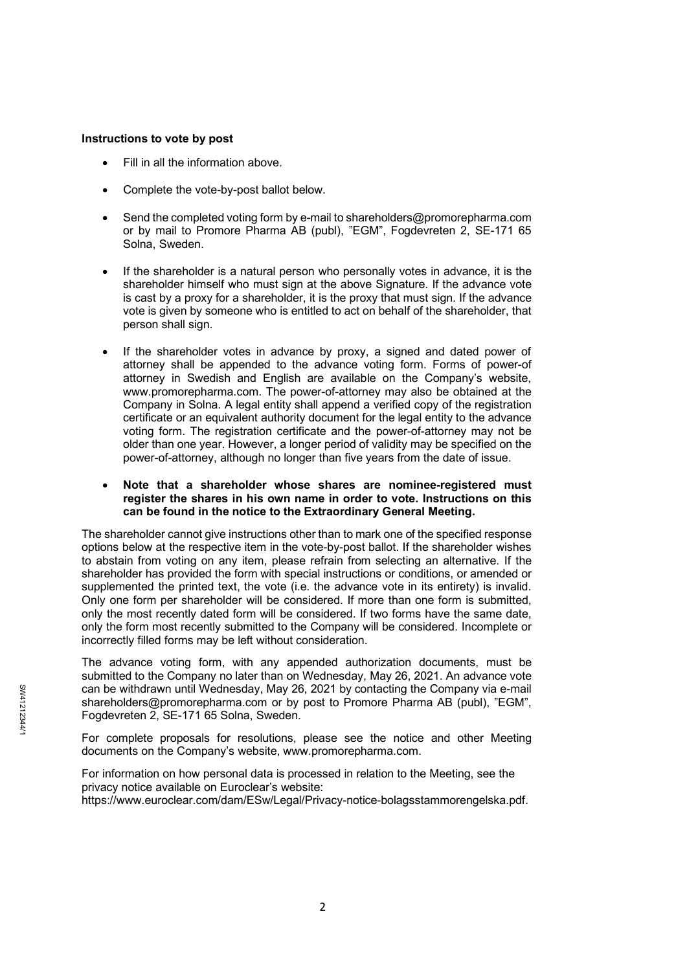## **Instructions to vote by post**

- Fill in all the information above.
- Complete the vote-by-post ballot below.
- Send the completed voting form by e-mail to [shareholders@promorepharma.com](mailto:shareholders@promorepharma.com) or by mail to Promore Pharma AB (publ), "EGM", Fogdevreten 2, SE-171 65 Solna, Sweden.
- If the shareholder is a natural person who personally votes in advance, it is the shareholder himself who must sign at the above Signature. If the advance vote is cast by a proxy for a shareholder, it is the proxy that must sign. If the advance vote is given by someone who is entitled to act on behalf of the shareholder, that person shall sign.
- If the shareholder votes in advance by proxy, a signed and dated power of attorney shall be appended to the advance voting form. Forms of power-of attorney in Swedish and English are available on the Company's website, www.promorepharma.com. The power-of-attorney may also be obtained at the Company in Solna. A legal entity shall append a verified copy of the registration certificate or an equivalent authority document for the legal entity to the advance voting form. The registration certificate and the power-of-attorney may not be older than one year. However, a longer period of validity may be specified on the power-of-attorney, although no longer than five years from the date of issue.
- **Note that a shareholder whose shares are nominee-registered must register the shares in his own name in order to vote. Instructions on this can be found in the notice to the Extraordinary General Meeting.**

The shareholder cannot give instructions other than to mark one of the specified response options below at the respective item in the vote-by-post ballot. If the shareholder wishes to abstain from voting on any item, please refrain from selecting an alternative. If the shareholder has provided the form with special instructions or conditions, or amended or supplemented the printed text, the vote (i.e. the advance vote in its entirety) is invalid. Only one form per shareholder will be considered. If more than one form is submitted, only the most recently dated form will be considered. If two forms have the same date, only the form most recently submitted to the Company will be considered. Incomplete or incorrectly filled forms may be left without consideration.

The advance voting form, with any appended authorization documents, must be submitted to the Company no later than on Wednesday, May 26, 2021. An advance vote can be withdrawn until Wednesday, May 26, 2021 by contacting the Company via e-mail [shareholders@promorepharma.com](mailto:shareholders@promorepharma.com) or by post to Promore Pharma AB (publ), "EGM", Fogdevreten 2, SE-171 65 Solna, Sweden.

For complete proposals for resolutions, please see the notice and other Meeting documents on the Company's website, www.promorepharma.com.

For information on how personal data is processed in relation to the Meeting, see the privacy notice available on Euroclear's website: https://www.euroclear.com/dam/ESw/Legal/Privacy-notice-bolagsstammorengelska.pdf.